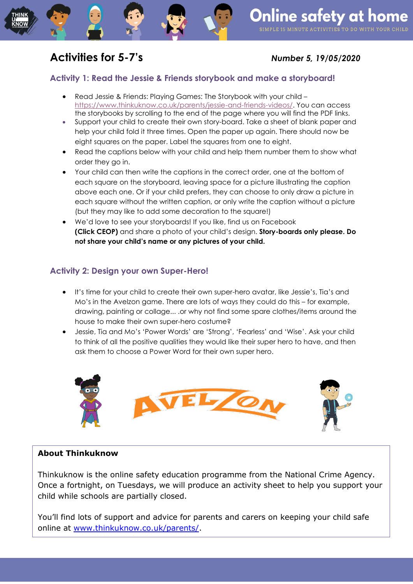# **Activities for 5-7's** *Number 5, 19/05/2020*

## **Activity 1: Read the Jessie & Friends storybook and make a storyboard!**

- Read Jessie & Friends: Playing Games: The Storybook with your child [https://www.thinkuknow.co.uk/parents/jessie-and-friends-videos/.](https://www.thinkuknow.co.uk/parents/jessie-and-friends-videos/) You can access the storybooks by scrolling to the end of the page where you will find the PDF links.
- Support your child to create their own story-board. Take a sheet of blank paper and help your child fold it three times. Open the paper up again. There should now be eight squares on the paper. Label the squares from one to eight.
- Read the captions below with your child and help them number them to show what order they go in.
- Your child can then write the captions in the correct order, one at the bottom of each square on the storyboard, leaving space for a picture illustrating the caption above each one. Or if your child prefers, they can choose to only draw a picture in each square without the written caption, or only write the caption without a picture (but they may like to add some decoration to the square!)
- We'd love to see your storyboards! If you like, find us on Facebook **(Click CEOP)** and share a photo of your child's design. **Story-boards only please. Do not share your child's name or any pictures of your child.**

### **Activity 2: Design your own Super-Hero!**

- It's time for your child to create their own super-hero avatar, like Jessie's, Tia's and Mo's in the Avelzon game. There are lots of ways they could do this – for example, drawing, painting or collage... .or why not find some spare clothes/items around the house to make their own super-hero costume?
- Jessie, Tia and Mo's 'Power Words' are 'Strong', 'Fearless' and 'Wise'. Ask your child to think of all the positive qualities they would like their super hero to have, and then ask them to choose a Power Word for their own super hero.



### **About Thinkuknow**

Thinkuknow is the online safety education programme from the National Crime Agency. Once a fortnight, on Tuesdays, we will produce an activity sheet to help you support your child while schools are partially closed.

You'll find lots of support and advice for parents and carers on keeping your child safe online at [www.thinkuknow.co.uk/parents/.](http://www.thinkuknow.co.uk/parents/)